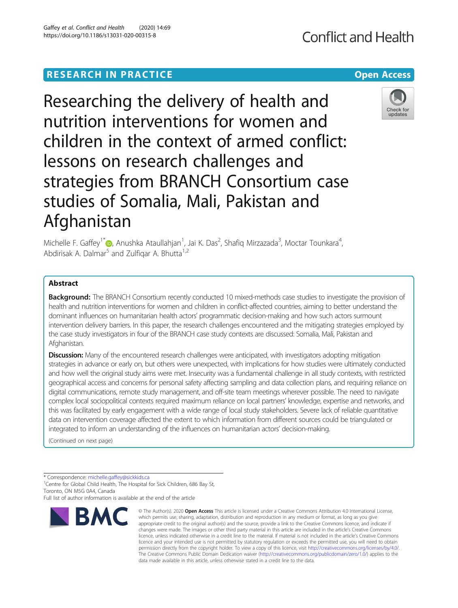# **RESEARCH IN PRACTICE Example 20 and 20 and 20 and 20 and 20 and 20 and 20 and 20 and 20 and 20 and 20 and 20 and 20 and 20 and 20 and 20 and 20 and 20 and 20 and 20 and 20 and 20 and 20 and 20 and 20 and 20 and 20 and 2**

Researching the delivery of health and nutrition interventions for women and children in the context of armed conflict: lessons on research challenges and strategies from BRANCH Consortium case studies of Somalia, Mali, Pakistan and Afghanistan



Michelle F. Gaffey<sup>1\*</sup>®[,](http://orcid.org/0000-0002-1800-8145) Anushka Ataullahjan<sup>1</sup>, Jai K. Das<sup>2</sup>, Shafiq Mirzazada<sup>3</sup>, Moctar Tounkara<sup>4</sup> , Abdirisak A. Dalmar<sup>5</sup> and Zulfigar A. Bhutta<sup>1,2</sup>

## Abstract

Background: The BRANCH Consortium recently conducted 10 mixed-methods case studies to investigate the provision of health and nutrition interventions for women and children in conflict-affected countries, aiming to better understand the dominant influences on humanitarian health actors' programmatic decision-making and how such actors surmount intervention delivery barriers. In this paper, the research challenges encountered and the mitigating strategies employed by the case study investigators in four of the BRANCH case study contexts are discussed: Somalia, Mali, Pakistan and Afghanistan.

**Discussion:** Many of the encountered research challenges were anticipated, with investigators adopting mitigation strategies in advance or early on, but others were unexpected, with implications for how studies were ultimately conducted and how well the original study aims were met. Insecurity was a fundamental challenge in all study contexts, with restricted geographical access and concerns for personal safety affecting sampling and data collection plans, and requiring reliance on digital communications, remote study management, and off-site team meetings wherever possible. The need to navigate complex local sociopolitical contexts required maximum reliance on local partners' knowledge, expertise and networks, and this was facilitated by early engagement with a wide range of local study stakeholders. Severe lack of reliable quantitative data on intervention coverage affected the extent to which information from different sources could be triangulated or integrated to inform an understanding of the influences on humanitarian actors' decision-making.

(Continued on next page)

\* Correspondence: [michelle.gaffey@sickkids.ca](mailto:michelle.gaffey@sickkids.ca) <sup>1</sup>

<sup>1</sup> Centre for Global Child Health, The Hospital for Sick Children, 686 Bay St, Toronto, ON M5G 0A4, Canada

Full list of author information is available at the end of the article



<sup>©</sup> The Author(s), 2020 **Open Access** This article is licensed under a Creative Commons Attribution 4.0 International License, which permits use, sharing, adaptation, distribution and reproduction in any medium or format, as long as you give appropriate credit to the original author(s) and the source, provide a link to the Creative Commons licence, and indicate if changes were made. The images or other third party material in this article are included in the article's Creative Commons licence, unless indicated otherwise in a credit line to the material. If material is not included in the article's Creative Commons licence and your intended use is not permitted by statutory regulation or exceeds the permitted use, you will need to obtain permission directly from the copyright holder. To view a copy of this licence, visit [http://creativecommons.org/licenses/by/4.0/.](http://creativecommons.org/licenses/by/4.0/) The Creative Commons Public Domain Dedication waiver [\(http://creativecommons.org/publicdomain/zero/1.0/](http://creativecommons.org/publicdomain/zero/1.0/)) applies to the data made available in this article, unless otherwise stated in a credit line to the data.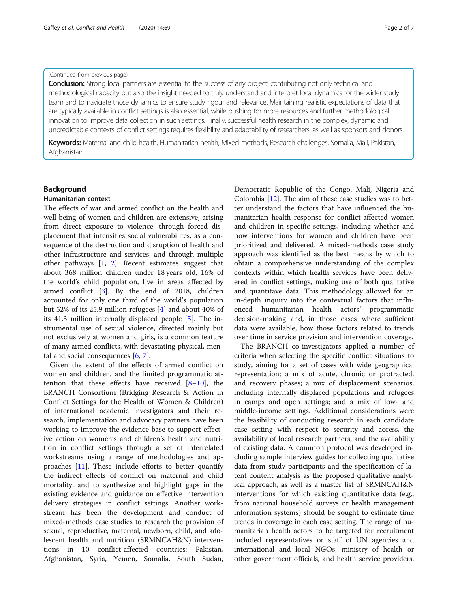### (Continued from previous page)

**Conclusion:** Strong local partners are essential to the success of any project, contributing not only technical and methodological capacity but also the insight needed to truly understand and interpret local dynamics for the wider study team and to navigate those dynamics to ensure study rigour and relevance. Maintaining realistic expectations of data that are typically available in conflict settings is also essential, while pushing for more resources and further methodological innovation to improve data collection in such settings. Finally, successful health research in the complex, dynamic and unpredictable contexts of conflict settings requires flexibility and adaptability of researchers, as well as sponsors and donors.

Keywords: Maternal and child health, Humanitarian health, Mixed methods, Research challenges, Somalia, Mali, Pakistan, Afghanistan

### Background

#### Humanitarian context

The effects of war and armed conflict on the health and well-being of women and children are extensive, arising from direct exposure to violence, through forced displacement that intensifies social vulnerabilites, as a consequence of the destruction and disruption of health and other infrastructure and services, and through multiple other pathways [\[1](#page-6-0), [2](#page-6-0)]. Recent estimates suggest that about 368 million children under 18 years old, 16% of the world's child population, live in areas affected by armed conflict [[3\]](#page-6-0). By the end of 2018, children accounted for only one third of the world's population but 52% of its 25.9 million refugees [[4\]](#page-6-0) and about 40% of its 41.3 million internally displaced people [[5\]](#page-6-0). The instrumental use of sexual violence, directed mainly but not exclusively at women and girls, is a common feature of many armed conflicts, with devastating physical, mental and social consequences [[6,](#page-6-0) [7\]](#page-6-0).

Given the extent of the effects of armed conflict on women and children, and the limited programmatic attention that these effects have received  $[8-10]$  $[8-10]$  $[8-10]$  $[8-10]$ , the BRANCH Consortium (Bridging Research & Action in Conflict Settings for the Health of Women & Children) of international academic investigators and their research, implementation and advocacy partners have been working to improve the evidence base to support effective action on women's and children's health and nutrition in conflict settings through a set of interrelated workstreams using a range of methodologies and approaches [[11\]](#page-6-0). These include efforts to better quantify the indirect effects of conflict on maternal and child mortality, and to synthesize and highlight gaps in the existing evidence and guidance on effective intervention delivery strategies in conflict settings. Another workstream has been the development and conduct of mixed-methods case studies to research the provision of sexual, reproductive, maternal, newborn, child, and adolescent health and nutrition (SRMNCAH&N) interventions in 10 conflict-affected countries: Pakistan, Afghanistan, Syria, Yemen, Somalia, South Sudan,

Democratic Republic of the Congo, Mali, Nigeria and Colombia [[12](#page-6-0)]. The aim of these case studies was to better understand the factors that have influenced the humanitarian health response for conflict-affected women and children in specific settings, including whether and how interventions for women and children have been prioritized and delivered. A mixed-methods case study approach was identified as the best means by which to obtain a comprehensive understanding of the complex contexts within which health services have been delivered in conflict settings, making use of both qualitative and quantitave data. This methodology allowed for an in-depth inquiry into the contextual factors that influenced humanitarian health actors' programmatic decision-making and, in those cases where sufficient data were available, how those factors related to trends over time in service provision and intervention coverage.

The BRANCH co-investigators applied a number of criteria when selecting the specific conflict situations to study, aiming for a set of cases with wide geographical representation; a mix of acute, chronic or protracted, and recovery phases; a mix of displacement scenarios, including internally displaced populations and refugees in camps and open settings; and a mix of low- and middle-income settings. Additional considerations were the feasibility of conducting research in each candidate case setting with respect to security and access, the availability of local research partners, and the availability of existing data. A common protocol was developed including sample interview guides for collecting qualitative data from study participants and the specification of latent content analysis as the proposed qualitative analytical approach, as well as a master list of SRMNCAH&N interventions for which existing quantitative data (e.g., from national household surveys or health management information systems) should be sought to estimate time trends in coverage in each case setting. The range of humanitarian health actors to be targeted for recruitment included representatives or staff of UN agencies and international and local NGOs, ministry of health or other government officials, and health service providers.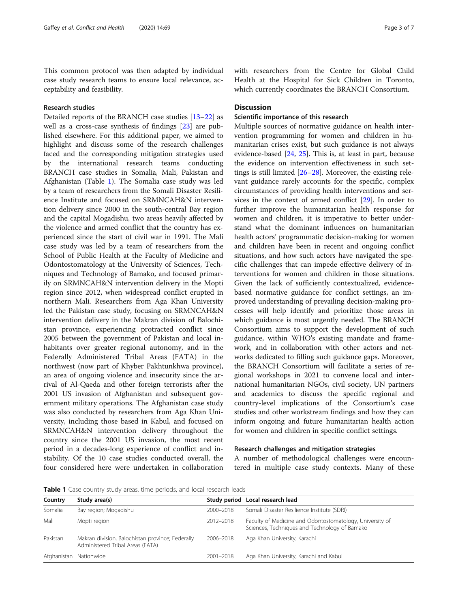This common protocol was then adapted by individual case study research teams to ensure local relevance, acceptability and feasibility.

### Research studies

Detailed reports of the BRANCH case studies [[13](#page-6-0)–[22](#page-6-0)] as well as a cross-case synthesis of findings [\[23](#page-6-0)] are published elsewhere. For this additional paper, we aimed to highlight and discuss some of the research challenges faced and the corresponding mitigation strategies used by the international research teams conducting BRANCH case studies in Somalia, Mali, Pakistan and Afghanistan (Table 1). The Somalia case study was led by a team of researchers from the Somali Disaster Resilience Institute and focused on SRMNCAH&N intervention delivery since 2000 in the south-central Bay region and the capital Mogadishu, two areas heavily affected by the violence and armed conflict that the country has experienced since the start of civil war in 1991. The Mali case study was led by a team of researchers from the School of Public Health at the Faculty of Medicine and Odontostomatology at the University of Sciences, Techniques and Technology of Bamako, and focused primarily on SRMNCAH&N intervention delivery in the Mopti region since 2012, when widespread conflict erupted in northern Mali. Researchers from Aga Khan University led the Pakistan case study, focusing on SRMNCAH&N intervention delivery in the Makran division of Balochistan province, experiencing protracted conflict since 2005 between the government of Pakistan and local inhabitants over greater regional autonomy, and in the Federally Administered Tribal Areas (FATA) in the northwest (now part of Khyber Pakhtunkhwa province), an area of ongoing violence and insecurity since the arrival of Al-Qaeda and other foreign terrorists after the 2001 US invasion of Afghanistan and subsequent government military operations. The Afghanistan case study was also conducted by researchers from Aga Khan University, including those based in Kabul, and focused on SRMNCAH&N intervention delivery throughout the country since the 2001 US invasion, the most recent period in a decades-long experience of conflict and instability. Of the 10 case studies conducted overall, the four considered here were undertaken in collaboration

with researchers from the Centre for Global Child Health at the Hospital for Sick Children in Toronto, which currently coordinates the BRANCH Consortium.

### **Discussion**

### Scientific importance of this research

Multiple sources of normative guidance on health intervention programming for women and children in humanitarian crises exist, but such guidance is not always evidence-based [\[24,](#page-6-0) [25](#page-6-0)]. This is, at least in part, because the evidence on intervention effectiveness in such settings is still limited [[26](#page-6-0)–[28](#page-6-0)]. Moreover, the existing relevant guidance rarely accounts for the specific, complex circumstances of providing health interventions and services in the context of armed conflict [\[29\]](#page-6-0). In order to further improve the humanitarian health response for women and children, it is imperative to better understand what the dominant influences on humanitarian health actors' programmatic decision-making for women and children have been in recent and ongoing conflict situations, and how such actors have navigated the specific challenges that can impede effective delivery of interventions for women and children in those situations. Given the lack of sufficiently contextualized, evidencebased normative guidance for conflict settings, an improved understanding of prevailing decision-making processes will help identify and prioritize those areas in which guidance is most urgently needed. The BRANCH Consortium aims to support the development of such guidance, within WHO's existing mandate and framework, and in collaboration with other actors and networks dedicated to filling such guidance gaps. Moreover, the BRANCH Consortium will facilitate a series of regional workshops in 2021 to convene local and international humanitarian NGOs, civil society, UN partners and academics to discuss the specific regional and country-level implications of the Consortium's case studies and other workstream findings and how they can inform ongoing and future humanitarian health action for women and children in specific conflict settings.

### Research challenges and mitigation strategies

A number of methodological challenges were encountered in multiple case study contexts. Many of these

Table 1 Case country study areas, time periods, and local research leads

| Country  | Study area(s)                                                                        |           | Study period Local research lead                                                                          |
|----------|--------------------------------------------------------------------------------------|-----------|-----------------------------------------------------------------------------------------------------------|
| Somalia  | Bay region; Mogadishu                                                                | 2000-2018 | Somali Disaster Resilience Institute (SDRI)                                                               |
| Mali     | Mopti region                                                                         | 2012-2018 | Faculty of Medicine and Odontostomatology, University of<br>Sciences, Techniques and Technology of Bamako |
| Pakistan | Makran division, Balochistan province; Federally<br>Administered Tribal Areas (FATA) | 2006-2018 | Aga Khan University, Karachi                                                                              |
|          | Afghanistan Nationwide                                                               | 2001-2018 | Aga Khan University, Karachi and Kabul                                                                    |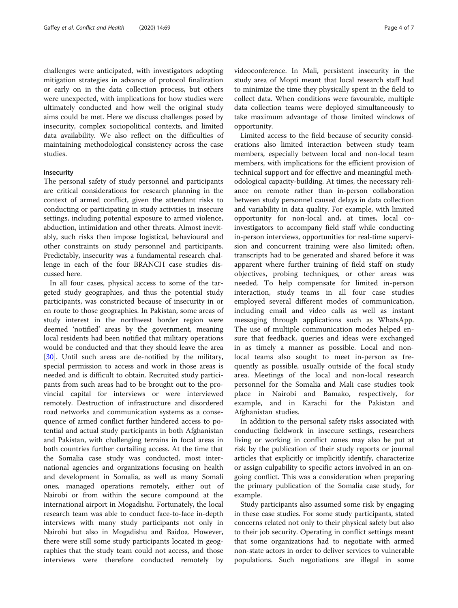challenges were anticipated, with investigators adopting mitigation strategies in advance of protocol finalization or early on in the data collection process, but others were unexpected, with implications for how studies were ultimately conducted and how well the original study aims could be met. Here we discuss challenges posed by insecurity, complex sociopolitical contexts, and limited data availability. We also reflect on the difficulties of maintaining methodological consistency across the case studies.

### Insecurity

The personal safety of study personnel and participants are critical considerations for research planning in the context of armed conflict, given the attendant risks to conducting or participating in study activities in insecure settings, including potential exposure to armed violence, abduction, intimidation and other threats. Almost inevitably, such risks then impose logistical, behavioural and other constraints on study personnel and participants. Predictably, insecurity was a fundamental research challenge in each of the four BRANCH case studies discussed here.

In all four cases, physical access to some of the targeted study geographies, and thus the potential study participants, was constricted because of insecurity in or en route to those geographies. In Pakistan, some areas of study interest in the northwest border region were deemed 'notified' areas by the government, meaning local residents had been notified that military operations would be conducted and that they should leave the area [[30\]](#page-6-0). Until such areas are de-notified by the military, special permission to access and work in those areas is needed and is difficult to obtain. Recruited study participants from such areas had to be brought out to the provincial capital for interviews or were interviewed remotely. Destruction of infrastructure and disordered road networks and communication systems as a consequence of armed conflict further hindered access to potential and actual study participants in both Afghanistan and Pakistan, with challenging terrains in focal areas in both countries further curtailing access. At the time that the Somalia case study was conducted, most international agencies and organizations focusing on health and development in Somalia, as well as many Somali ones, managed operations remotely, either out of Nairobi or from within the secure compound at the international airport in Mogadishu. Fortunately, the local research team was able to conduct face-to-face in-depth interviews with many study participants not only in Nairobi but also in Mogadishu and Baidoa. However, there were still some study participants located in geographies that the study team could not access, and those interviews were therefore conducted remotely by videoconference. In Mali, persistent insecurity in the study area of Mopti meant that local research staff had to minimize the time they physically spent in the field to collect data. When conditions were favourable, multiple data collection teams were deployed simultaneously to take maximum advantage of those limited windows of opportunity.

Limited access to the field because of security considerations also limited interaction between study team members, especially between local and non-local team members, with implications for the efficient provision of technical support and for effective and meaningful methodological capacity-building. At times, the necessary reliance on remote rather than in-person collaboration between study personnel caused delays in data collection and variability in data quality. For example, with limited opportunity for non-local and, at times, local coinvestigators to accompany field staff while conducting in-person interviews, opportunities for real-time supervision and concurrent training were also limited; often, transcripts had to be generated and shared before it was apparent where further training of field staff on study objectives, probing techniques, or other areas was needed. To help compensate for limited in-person interaction, study teams in all four case studies employed several different modes of communication, including email and video calls as well as instant messaging through applications such as WhatsApp. The use of multiple communication modes helped ensure that feedback, queries and ideas were exchanged in as timely a manner as possible. Local and nonlocal teams also sought to meet in-person as frequently as possible, usually outside of the focal study area. Meetings of the local and non-local research personnel for the Somalia and Mali case studies took place in Nairobi and Bamako, respectively, for example, and in Karachi for the Pakistan and Afghanistan studies.

In addition to the personal safety risks associated with conducting fieldwork in insecure settings, researchers living or working in conflict zones may also be put at risk by the publication of their study reports or journal articles that explicitly or implicitly identify, characterize or assign culpability to specific actors involved in an ongoing conflict. This was a consideration when preparing the primary publication of the Somalia case study, for example.

Study participants also assumed some risk by engaging in these case studies. For some study participants, stated concerns related not only to their physical safety but also to their job security. Operating in conflict settings meant that some organizations had to negotiate with armed non-state actors in order to deliver services to vulnerable populations. Such negotiations are illegal in some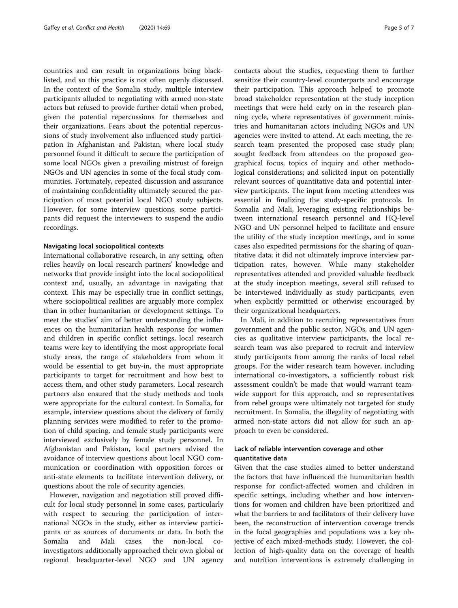countries and can result in organizations being blacklisted, and so this practice is not often openly discussed. In the context of the Somalia study, multiple interview participants alluded to negotiating with armed non-state actors but refused to provide further detail when probed, given the potential repercussions for themselves and their organizations. Fears about the potential repercussions of study involvement also influenced study participation in Afghanistan and Pakistan, where local study personnel found it difficult to secure the participation of some local NGOs given a prevailing mistrust of foreign NGOs and UN agencies in some of the focal study communities. Fortunately, repeated discussion and assurance of maintaining confidentiality ultimately secured the participation of most potential local NGO study subjects. However, for some interview questions, some participants did request the interviewers to suspend the audio recordings.

#### Navigating local sociopolitical contexts

International collaborative research, in any setting, often relies heavily on local research partners' knowledge and networks that provide insight into the local sociopolitical context and, usually, an advantage in navigating that context. This may be especially true in conflict settings, where sociopolitical realities are arguably more complex than in other humanitarian or development settings. To meet the studies' aim of better understanding the influences on the humanitarian health response for women and children in specific conflict settings, local research teams were key to identifying the most appropriate focal study areas, the range of stakeholders from whom it would be essential to get buy-in, the most appropriate participants to target for recruitment and how best to access them, and other study parameters. Local research partners also ensured that the study methods and tools were appropriate for the cultural context. In Somalia, for example, interview questions about the delivery of family planning services were modified to refer to the promotion of child spacing, and female study participants were interviewed exclusively by female study personnel. In Afghanistan and Pakistan, local partners advised the avoidance of interview questions about local NGO communication or coordination with opposition forces or anti-state elements to facilitate intervention delivery, or questions about the role of security agencies.

However, navigation and negotiation still proved difficult for local study personnel in some cases, particularly with respect to securing the participation of international NGOs in the study, either as interview participants or as sources of documents or data. In both the Somalia and Mali cases, the non-local coinvestigators additionally approached their own global or regional headquarter-level NGO and UN agency contacts about the studies, requesting them to further sensitize their country-level counterparts and encourage their participation. This approach helped to promote broad stakeholder representation at the study inception meetings that were held early on in the research planning cycle, where representatives of government ministries and humanitarian actors including NGOs and UN agencies were invited to attend. At each meeting, the research team presented the proposed case study plan; sought feedback from attendees on the proposed geographical focus, topics of inquiry and other methodological considerations; and solicited input on potentially relevant sources of quantitative data and potential interview participants. The input from meeting attendees was essential in finalizing the study-specific protocols. In Somalia and Mali, leveraging existing relationships between international research personnel and HQ-level NGO and UN personnel helped to facilitate and ensure the utility of the study inception meetings, and in some cases also expedited permissions for the sharing of quantitative data; it did not ultimately improve interview participation rates, however. While many stakeholder representatives attended and provided valuable feedback at the study inception meetings, several still refused to be interviewed individually as study participants, even when explicitly permitted or otherwise encouraged by their organizational headquarters.

In Mali, in addition to recruiting representatives from government and the public sector, NGOs, and UN agencies as qualitative interview participants, the local research team was also prepared to recruit and interview study participants from among the ranks of local rebel groups. For the wider research team however, including international co-investigators, a sufficiently robust risk assessment couldn't be made that would warrant teamwide support for this approach, and so representatives from rebel groups were ultimately not targeted for study recruitment. In Somalia, the illegality of negotiating with armed non-state actors did not allow for such an approach to even be considered.

### Lack of reliable intervention coverage and other quantitative data

Given that the case studies aimed to better understand the factors that have influenced the humanitarian health response for conflict-affected women and children in specific settings, including whether and how interventions for women and children have been prioritized and what the barriers to and facilitators of their delivery have been, the reconstruction of intervention coverage trends in the focal geographies and populations was a key objective of each mixed-methods study. However, the collection of high-quality data on the coverage of health and nutrition interventions is extremely challenging in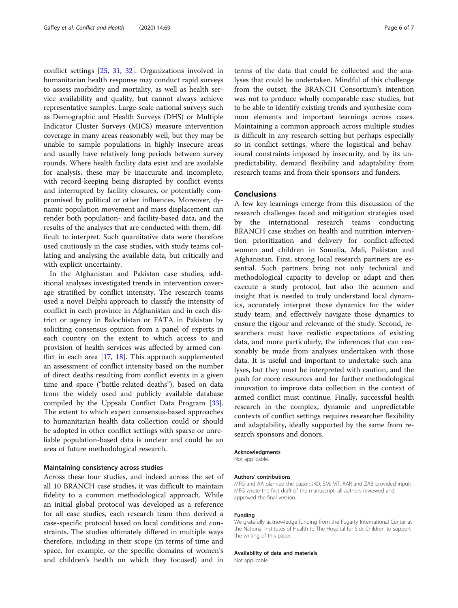conflict settings [\[25,](#page-6-0) [31](#page-6-0), [32\]](#page-6-0). Organizations involved in humanitarian health response may conduct rapid surveys to assess morbidity and mortality, as well as health service availability and quality, but cannot always achieve representative samples. Large-scale national surveys such as Demographic and Health Surveys (DHS) or Multiple Indicator Cluster Surveys (MICS) measure intervention coverage in many areas reasonably well, but they may be unable to sample populations in highly insecure areas and usually have relatively long periods between survey rounds. Where health facility data exist and are available for analysis, these may be inaccurate and incomplete, with record-keeping being disrupted by conflict events and interrupted by facility closures, or potentially compromised by political or other influences. Moreover, dynamic population movement and mass displacement can render both population- and facility-based data, and the results of the analyses that are conducted with them, difficult to interpret. Such quantitative data were therefore used cautiously in the case studies, with study teams collating and analysing the available data, but critically and with explicit uncertainty.

In the Afghanistan and Pakistan case studies, additional analyses investigated trends in intervention coverage stratified by conflict intensity. The research teams used a novel Delphi approach to classify the intensity of conflict in each province in Afghanistan and in each district or agency in Balochistan or FATA in Pakistan by soliciting consensus opinion from a panel of experts in each country on the extent to which access to and provision of health services was affected by armed conflict in each area  $[17, 18]$  $[17, 18]$  $[17, 18]$  $[17, 18]$ . This approach supplemented an assessment of conflict intensity based on the number of direct deaths resulting from conflict events in a given time and space ("battle-related deaths"), based on data from the widely used and publicly available database compiled by the Uppsala Conflict Data Program [\[33](#page-6-0)]. The extent to which expert consensus-based approaches to humanitarian health data collection could or should be adopted in other conflict settings with sparse or unreliable population-based data is unclear and could be an area of future methodological research.

#### Maintaining consistency across studies

Across these four studies, and indeed across the set of all 10 BRANCH case studies, it was difficult to maintain fidelity to a common methodological approach. While an initial global protocol was developed as a reference for all case studies, each research team then derived a case-specific protocol based on local conditions and constraints. The studies ultimately differed in multiple ways therefore, including in their scope (in terms of time and space, for example, or the specific domains of women's and children's health on which they focused) and in

terms of the data that could be collected and the analyses that could be undertaken. Mindful of this challenge from the outset, the BRANCH Consortium's intention was not to produce wholly comparable case studies, but to be able to identify existing trends and synthesize common elements and important learnings across cases. Maintaining a common approach across multiple studies is difficult in any research setting but perhaps especially so in conflict settings, where the logistical and behavioural constraints imposed by insecurity, and by its unpredictability, demand flexibility and adaptability from research teams and from their sponsors and funders.

### Conclusions

A few key learnings emerge from this discussion of the research challenges faced and mitigation strategies used by the international research teams conducting BRANCH case studies on health and nutrition intervention prioritization and delivery for conflict-affected women and children in Somalia, Mali, Pakistan and Afghanistan. First, strong local research partners are essential. Such partners bring not only technical and methodological capacity to develop or adapt and then execute a study protocol, but also the acumen and insight that is needed to truly understand local dynamics, accurately interpret those dynamics for the wider study team, and effectively navigate those dynamics to ensure the rigour and relevance of the study. Second, researchers must have realistic expectations of existing data, and more particularly, the inferences that can reasonably be made from analyses undertaken with those data. It is useful and important to undertake such analyses, but they must be interpreted with caution, and the push for more resources and for further methodological innovation to improve data collection in the context of armed conflict must continue. Finally, successful health research in the complex, dynamic and unpredictable contexts of conflict settings requires researcher flexibility and adaptability, ideally supported by the same from research sponsors and donors.

#### Acknowledgments

Not applicable.

#### Authors' contributions

MFG and AA planned the paper; JKD, SM, MT, AAR and ZAB provided input; MFG wrote the first draft of the manuscript; all authors reviewed and approved the final version.

#### Funding

We gratefully acknowledge funding from the Fogarty International Center at the National Institutes of Health to The Hospital for Sick Children to support the writing of this paper.

#### Availability of data and materials

Not applicable.